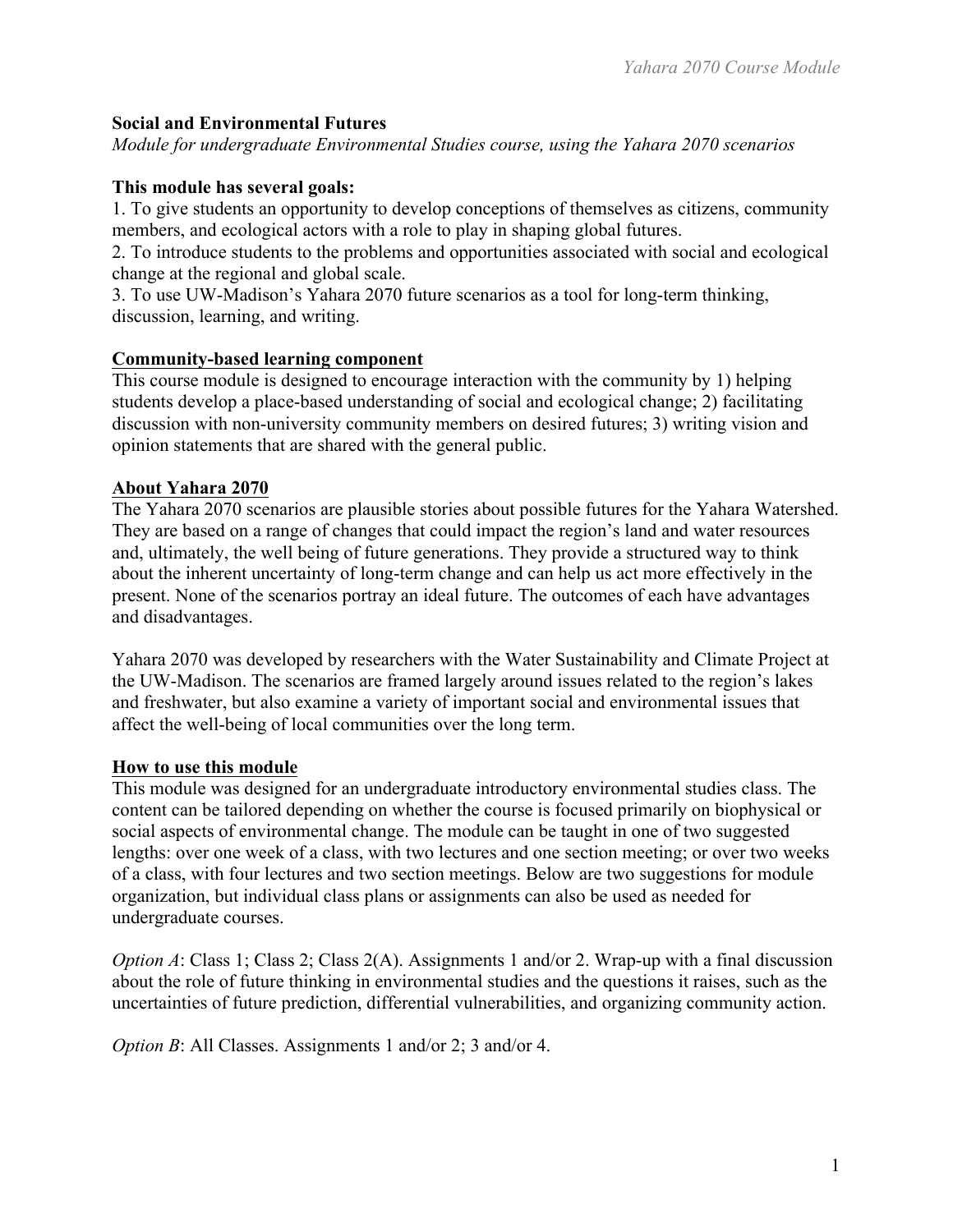# **Social and Environmental Futures**

*Module for undergraduate Environmental Studies course, using the Yahara 2070 scenarios*

# **This module has several goals:**

1. To give students an opportunity to develop conceptions of themselves as citizens, community members, and ecological actors with a role to play in shaping global futures.

2. To introduce students to the problems and opportunities associated with social and ecological change at the regional and global scale.

3. To use UW-Madison's Yahara 2070 future scenarios as a tool for long-term thinking, discussion, learning, and writing.

# **Community-based learning component**

This course module is designed to encourage interaction with the community by 1) helping students develop a place-based understanding of social and ecological change; 2) facilitating discussion with non-university community members on desired futures; 3) writing vision and opinion statements that are shared with the general public.

# **About Yahara 2070**

The Yahara 2070 scenarios are plausible stories about possible futures for the Yahara Watershed. They are based on a range of changes that could impact the region's land and water resources and, ultimately, the well being of future generations. They provide a structured way to think about the inherent uncertainty of long-term change and can help us act more effectively in the present. None of the scenarios portray an ideal future. The outcomes of each have advantages and disadvantages.

Yahara 2070 was developed by researchers with the Water Sustainability and Climate Project at the UW-Madison. The scenarios are framed largely around issues related to the region's lakes and freshwater, but also examine a variety of important social and environmental issues that affect the well-being of local communities over the long term.

### **How to use this module**

This module was designed for an undergraduate introductory environmental studies class. The content can be tailored depending on whether the course is focused primarily on biophysical or social aspects of environmental change. The module can be taught in one of two suggested lengths: over one week of a class, with two lectures and one section meeting; or over two weeks of a class, with four lectures and two section meetings. Below are two suggestions for module organization, but individual class plans or assignments can also be used as needed for undergraduate courses.

*Option A*: Class 1; Class 2; Class 2(A). Assignments 1 and/or 2. Wrap-up with a final discussion about the role of future thinking in environmental studies and the questions it raises, such as the uncertainties of future prediction, differential vulnerabilities, and organizing community action.

*Option B*: All Classes. Assignments 1 and/or 2; 3 and/or 4.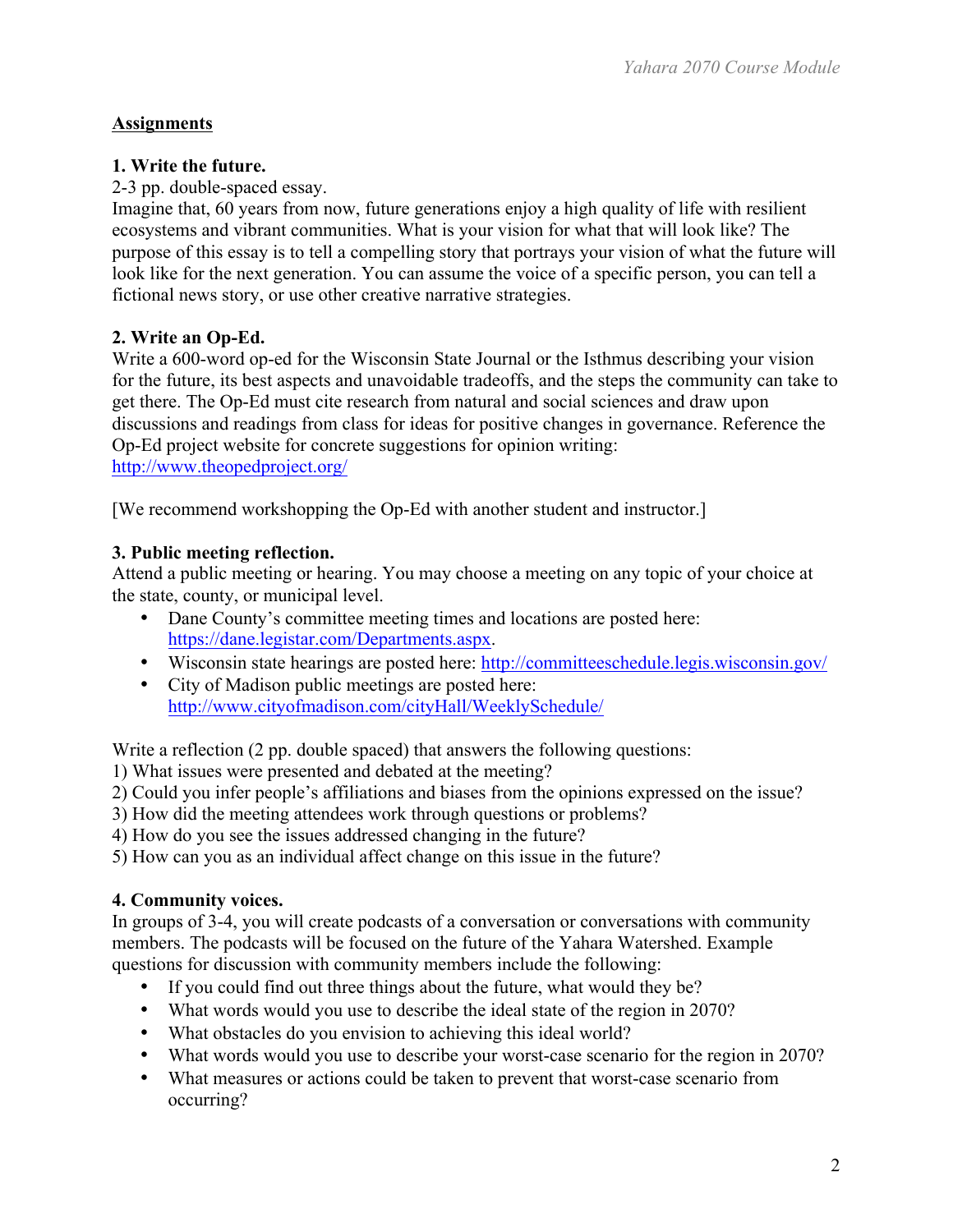# **Assignments**

# **1. Write the future.**

2-3 pp. double-spaced essay.

Imagine that, 60 years from now, future generations enjoy a high quality of life with resilient ecosystems and vibrant communities. What is your vision for what that will look like? The purpose of this essay is to tell a compelling story that portrays your vision of what the future will look like for the next generation. You can assume the voice of a specific person, you can tell a fictional news story, or use other creative narrative strategies.

# **2. Write an Op-Ed.**

Write a 600-word op-ed for the Wisconsin State Journal or the Isthmus describing your vision for the future, its best aspects and unavoidable tradeoffs, and the steps the community can take to get there. The Op-Ed must cite research from natural and social sciences and draw upon discussions and readings from class for ideas for positive changes in governance. Reference the Op-Ed project website for concrete suggestions for opinion writing: http://www.theopedproject.org/

[We recommend workshopping the Op-Ed with another student and instructor.]

# **3. Public meeting reflection.**

Attend a public meeting or hearing. You may choose a meeting on any topic of your choice at the state, county, or municipal level.

- Dane County's committee meeting times and locations are posted here: https://dane.legistar.com/Departments.aspx.
- Wisconsin state hearings are posted here: http://committeeschedule.legis.wisconsin.gov/
- City of Madison public meetings are posted here:
- http://www.cityofmadison.com/cityHall/WeeklySchedule/

Write a reflection (2 pp. double spaced) that answers the following questions:

1) What issues were presented and debated at the meeting?

- 2) Could you infer people's affiliations and biases from the opinions expressed on the issue?
- 3) How did the meeting attendees work through questions or problems?
- 4) How do you see the issues addressed changing in the future?

5) How can you as an individual affect change on this issue in the future?

# **4. Community voices.**

In groups of 3-4, you will create podcasts of a conversation or conversations with community members. The podcasts will be focused on the future of the Yahara Watershed. Example questions for discussion with community members include the following:

- If you could find out three things about the future, what would they be?
- What words would you use to describe the ideal state of the region in 2070?
- What obstacles do you envision to achieving this ideal world?
- What words would you use to describe your worst-case scenario for the region in 2070?
- What measures or actions could be taken to prevent that worst-case scenario from occurring?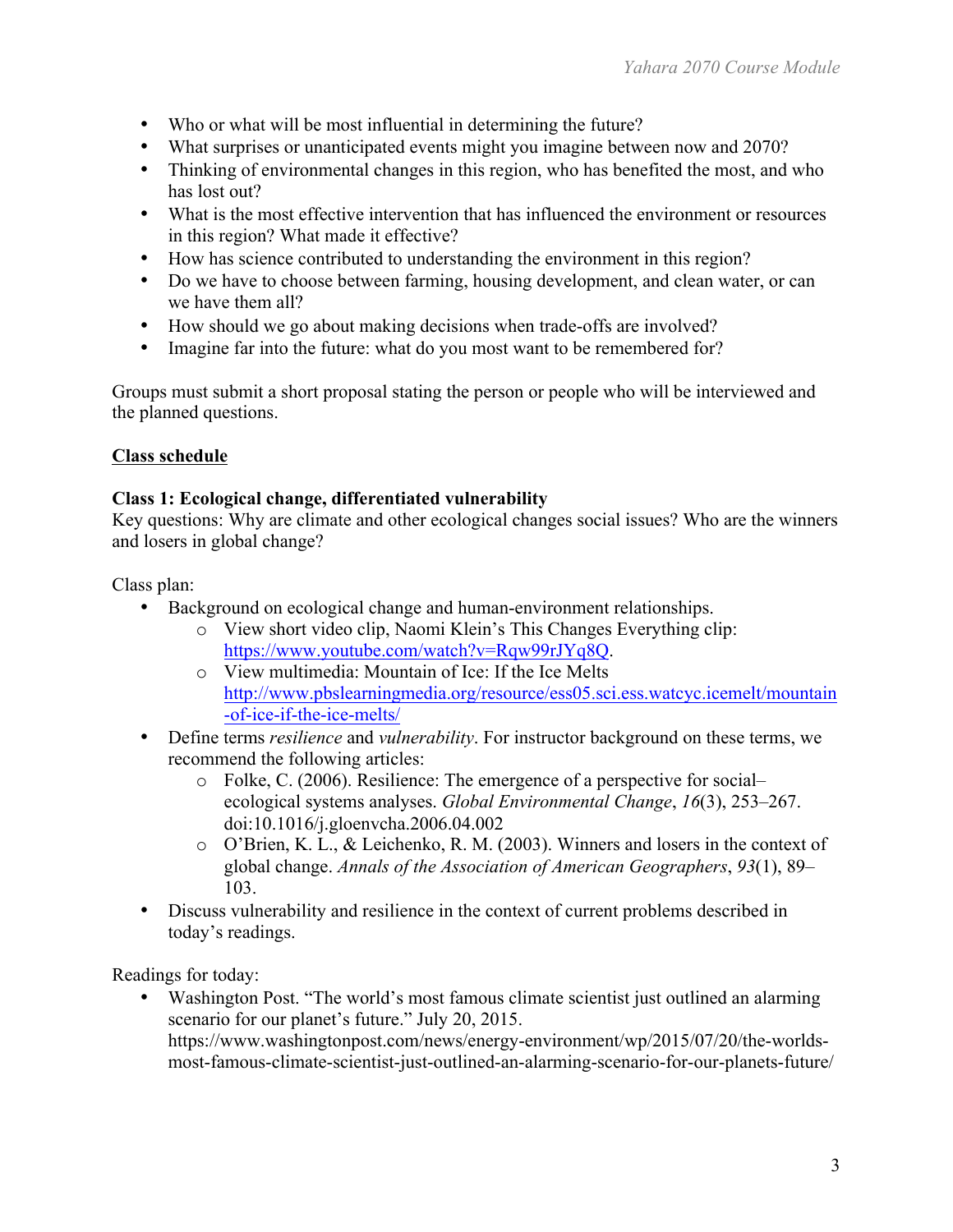- Who or what will be most influential in determining the future?
- What surprises or unanticipated events might you imagine between now and 2070?
- Thinking of environmental changes in this region, who has benefited the most, and who has lost out?
- What is the most effective intervention that has influenced the environment or resources in this region? What made it effective?
- How has science contributed to understanding the environment in this region?
- Do we have to choose between farming, housing development, and clean water, or can we have them all?
- How should we go about making decisions when trade-offs are involved?
- Imagine far into the future: what do you most want to be remembered for?

Groups must submit a short proposal stating the person or people who will be interviewed and the planned questions.

# **Class schedule**

# **Class 1: Ecological change, differentiated vulnerability**

Key questions: Why are climate and other ecological changes social issues? Who are the winners and losers in global change?

Class plan:

- Background on ecological change and human-environment relationships.
	- o View short video clip, Naomi Klein's This Changes Everything clip: https://www.youtube.com/watch?v=Rqw99rJYq8Q.
	- o View multimedia: Mountain of Ice: If the Ice Melts http://www.pbslearningmedia.org/resource/ess05.sci.ess.watcyc.icemelt/mountain -of-ice-if-the-ice-melts/
- Define terms *resilience* and *vulnerability*. For instructor background on these terms, we recommend the following articles:
	- o Folke, C. (2006). Resilience: The emergence of a perspective for social– ecological systems analyses. *Global Environmental Change*, *16*(3), 253–267. doi:10.1016/j.gloenvcha.2006.04.002
	- o O'Brien, K. L., & Leichenko, R. M. (2003). Winners and losers in the context of global change. *Annals of the Association of American Geographers*, *93*(1), 89– 103.
- Discuss vulnerability and resilience in the context of current problems described in today's readings.

Readings for today:

Washington Post. "The world's most famous climate scientist just outlined an alarming scenario for our planet's future." July 20, 2015. https://www.washingtonpost.com/news/energy-environment/wp/2015/07/20/the-worldsmost-famous-climate-scientist-just-outlined-an-alarming-scenario-for-our-planets-future/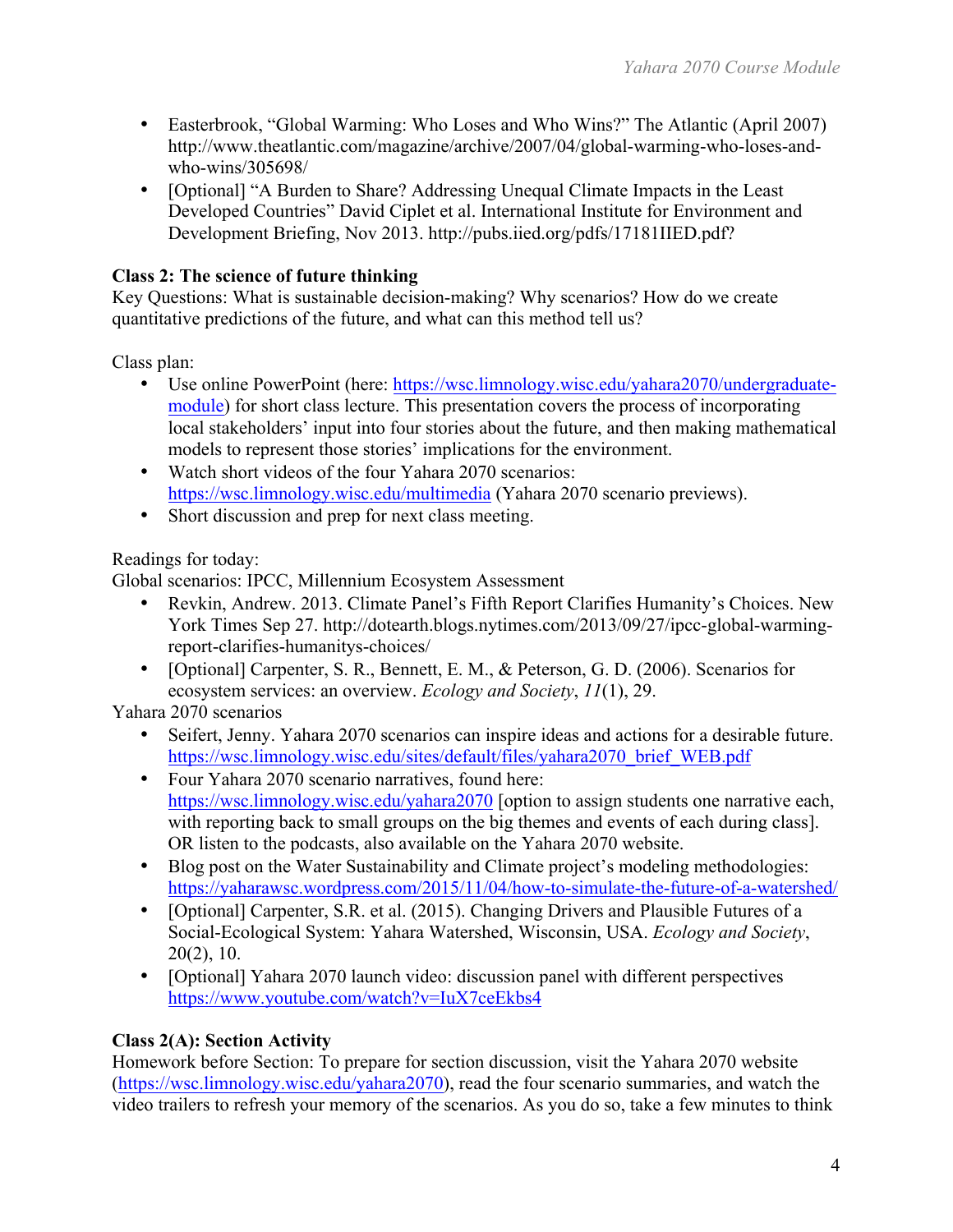- Easterbrook, "Global Warming: Who Loses and Who Wins?" The Atlantic (April 2007) http://www.theatlantic.com/magazine/archive/2007/04/global-warming-who-loses-andwho-wins/305698/
- [Optional] "A Burden to Share? Addressing Unequal Climate Impacts in the Least Developed Countries" David Ciplet et al. International Institute for Environment and Development Briefing, Nov 2013. http://pubs.iied.org/pdfs/17181IIED.pdf?

# **Class 2: The science of future thinking**

Key Questions: What is sustainable decision-making? Why scenarios? How do we create quantitative predictions of the future, and what can this method tell us?

Class plan:

- Use online PowerPoint (here: https://wsc.limnology.wisc.edu/yahara2070/undergraduatemodule) for short class lecture. This presentation covers the process of incorporating local stakeholders' input into four stories about the future, and then making mathematical models to represent those stories' implications for the environment.
- Watch short videos of the four Yahara 2070 scenarios: https://wsc.limnology.wisc.edu/multimedia (Yahara 2070 scenario previews).
- Short discussion and prep for next class meeting.

# Readings for today:

Global scenarios: IPCC, Millennium Ecosystem Assessment

- Revkin, Andrew. 2013. Climate Panel's Fifth Report Clarifies Humanity's Choices. New York Times Sep 27. http://dotearth.blogs.nytimes.com/2013/09/27/ipcc-global-warmingreport-clarifies-humanitys-choices/
- [Optional] Carpenter, S. R., Bennett, E. M., & Peterson, G. D. (2006). Scenarios for ecosystem services: an overview. *Ecology and Society*, *11*(1), 29.

Yahara 2070 scenarios

- Seifert, Jenny. Yahara 2070 scenarios can inspire ideas and actions for a desirable future. https://wsc.limnology.wisc.edu/sites/default/files/yahara2070\_brief\_WEB.pdf
- Four Yahara 2070 scenario narratives, found here: https://wsc.limnology.wisc.edu/yahara2070 [option to assign students one narrative each, with reporting back to small groups on the big themes and events of each during class]. OR listen to the podcasts, also available on the Yahara 2070 website.
- Blog post on the Water Sustainability and Climate project's modeling methodologies: https://yaharawsc.wordpress.com/2015/11/04/how-to-simulate-the-future-of-a-watershed/
- [Optional] Carpenter, S.R. et al. (2015). Changing Drivers and Plausible Futures of a Social-Ecological System: Yahara Watershed, Wisconsin, USA. *Ecology and Society*, 20(2), 10.
- [Optional] Yahara 2070 launch video: discussion panel with different perspectives https://www.youtube.com/watch?v=IuX7ceEkbs4

# **Class 2(A): Section Activity**

Homework before Section: To prepare for section discussion, visit the Yahara 2070 website (https://wsc.limnology.wisc.edu/yahara2070), read the four scenario summaries, and watch the video trailers to refresh your memory of the scenarios. As you do so, take a few minutes to think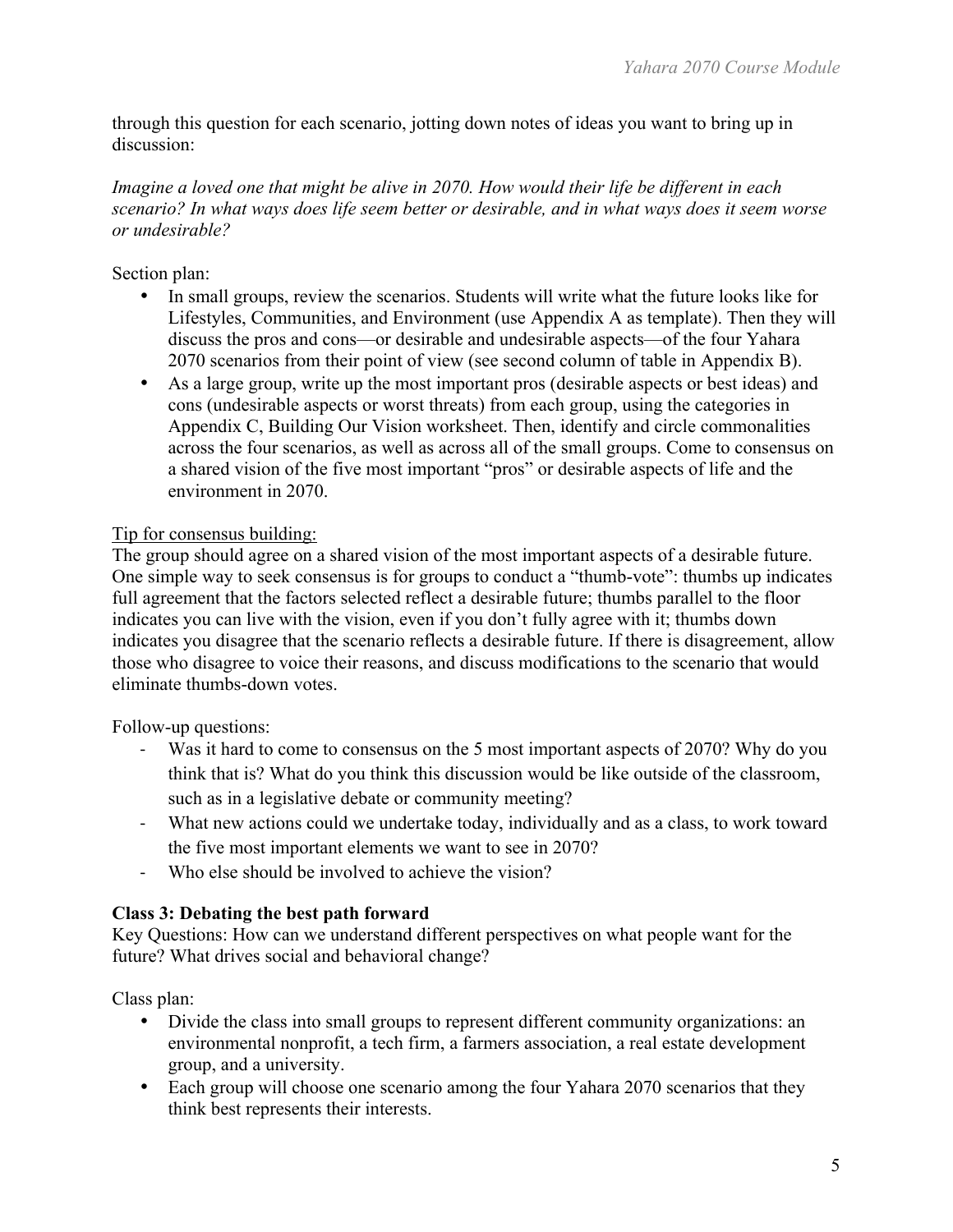through this question for each scenario, jotting down notes of ideas you want to bring up in discussion:

# *Imagine a loved one that might be alive in 2070. How would their life be different in each scenario? In what ways does life seem better or desirable, and in what ways does it seem worse or undesirable?*

Section plan:

- In small groups, review the scenarios. Students will write what the future looks like for Lifestyles, Communities, and Environment (use Appendix A as template). Then they will discuss the pros and cons—or desirable and undesirable aspects—of the four Yahara 2070 scenarios from their point of view (see second column of table in Appendix B).
- As a large group, write up the most important pros (desirable aspects or best ideas) and cons (undesirable aspects or worst threats) from each group, using the categories in Appendix C, Building Our Vision worksheet. Then, identify and circle commonalities across the four scenarios, as well as across all of the small groups. Come to consensus on a shared vision of the five most important "pros" or desirable aspects of life and the environment in 2070.

# Tip for consensus building:

The group should agree on a shared vision of the most important aspects of a desirable future. One simple way to seek consensus is for groups to conduct a "thumb-vote": thumbs up indicates full agreement that the factors selected reflect a desirable future; thumbs parallel to the floor indicates you can live with the vision, even if you don't fully agree with it; thumbs down indicates you disagree that the scenario reflects a desirable future. If there is disagreement, allow those who disagree to voice their reasons, and discuss modifications to the scenario that would eliminate thumbs-down votes.

Follow-up questions:

- ! Was it hard to come to consensus on the 5 most important aspects of 2070? Why do you think that is? What do you think this discussion would be like outside of the classroom, such as in a legislative debate or community meeting?
- ! What new actions could we undertake today, individually and as a class, to work toward the five most important elements we want to see in 2070?
- ! Who else should be involved to achieve the vision?

# **Class 3: Debating the best path forward**

Key Questions: How can we understand different perspectives on what people want for the future? What drives social and behavioral change?

Class plan:

- Divide the class into small groups to represent different community organizations: an environmental nonprofit, a tech firm, a farmers association, a real estate development group, and a university.
- Each group will choose one scenario among the four Yahara 2070 scenarios that they think best represents their interests.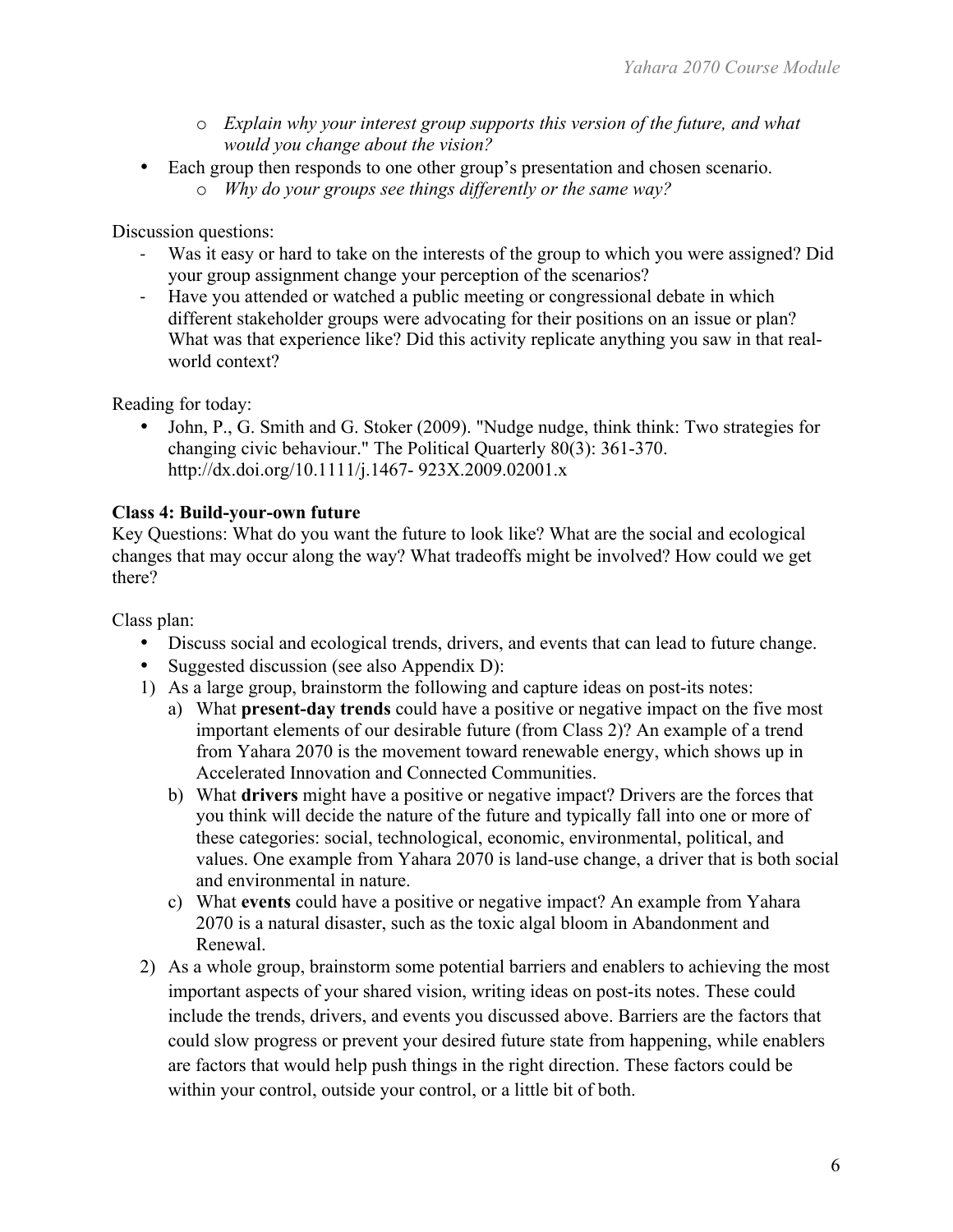- o *Explain why your interest group supports this version of the future, and what would you change about the vision?*
- Each group then responds to one other group's presentation and chosen scenario.
	- o *Why do your groups see things differently or the same way?*

Discussion questions:

- ! Was it easy or hard to take on the interests of the group to which you were assigned? Did your group assignment change your perception of the scenarios?
- ! Have you attended or watched a public meeting or congressional debate in which different stakeholder groups were advocating for their positions on an issue or plan? What was that experience like? Did this activity replicate anything you saw in that realworld context?

Reading for today:

• John, P., G. Smith and G. Stoker (2009). "Nudge nudge, think think: Two strategies for changing civic behaviour." The Political Quarterly 80(3): 361-370. http://dx.doi.org/10.1111/j.1467- 923X.2009.02001.x

# **Class 4: Build-your-own future**

Key Questions: What do you want the future to look like? What are the social and ecological changes that may occur along the way? What tradeoffs might be involved? How could we get there?

Class plan:

- Discuss social and ecological trends, drivers, and events that can lead to future change.
- Suggested discussion (see also Appendix D):
- 1) As a large group, brainstorm the following and capture ideas on post-its notes:
	- a) What **present-day trends** could have a positive or negative impact on the five most important elements of our desirable future (from Class 2)? An example of a trend from Yahara 2070 is the movement toward renewable energy, which shows up in Accelerated Innovation and Connected Communities.
	- b) What **drivers** might have a positive or negative impact? Drivers are the forces that you think will decide the nature of the future and typically fall into one or more of these categories: social, technological, economic, environmental, political, and values. One example from Yahara 2070 is land-use change, a driver that is both social and environmental in nature.
	- c) What **events** could have a positive or negative impact? An example from Yahara 2070 is a natural disaster, such as the toxic algal bloom in Abandonment and Renewal.
- 2) As a whole group, brainstorm some potential barriers and enablers to achieving the most important aspects of your shared vision, writing ideas on post-its notes. These could include the trends, drivers, and events you discussed above. Barriers are the factors that could slow progress or prevent your desired future state from happening, while enablers are factors that would help push things in the right direction. These factors could be within your control, outside your control, or a little bit of both.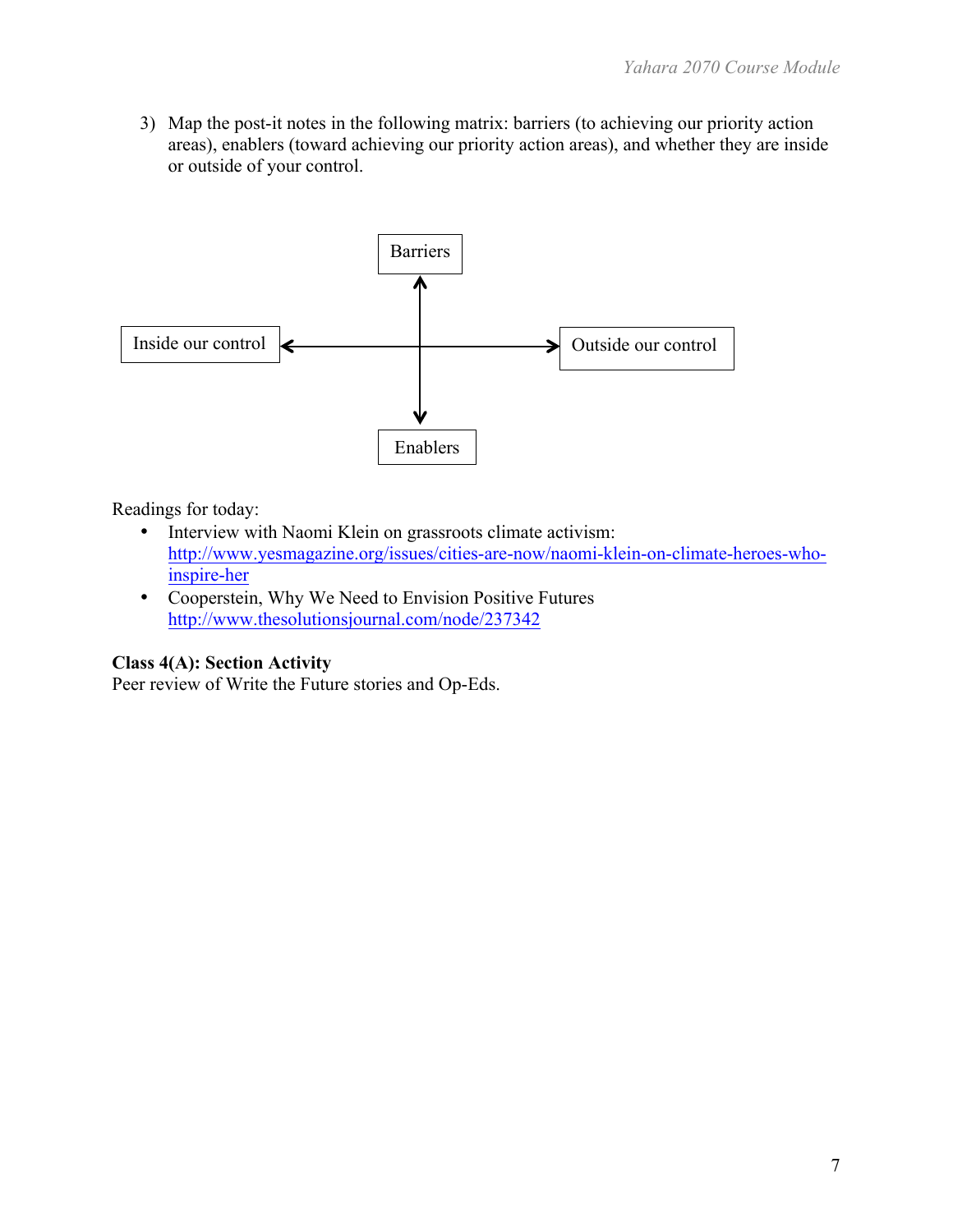3) Map the post-it notes in the following matrix: barriers (to achieving our priority action areas), enablers (toward achieving our priority action areas), and whether they are inside or outside of your control.



Readings for today:

- Interview with Naomi Klein on grassroots climate activism: http://www.yesmagazine.org/issues/cities-are-now/naomi-klein-on-climate-heroes-whoinspire-her
- Cooperstein, Why We Need to Envision Positive Futures http://www.thesolutionsjournal.com/node/237342

# **Class 4(A): Section Activity**

Peer review of Write the Future stories and Op-Eds.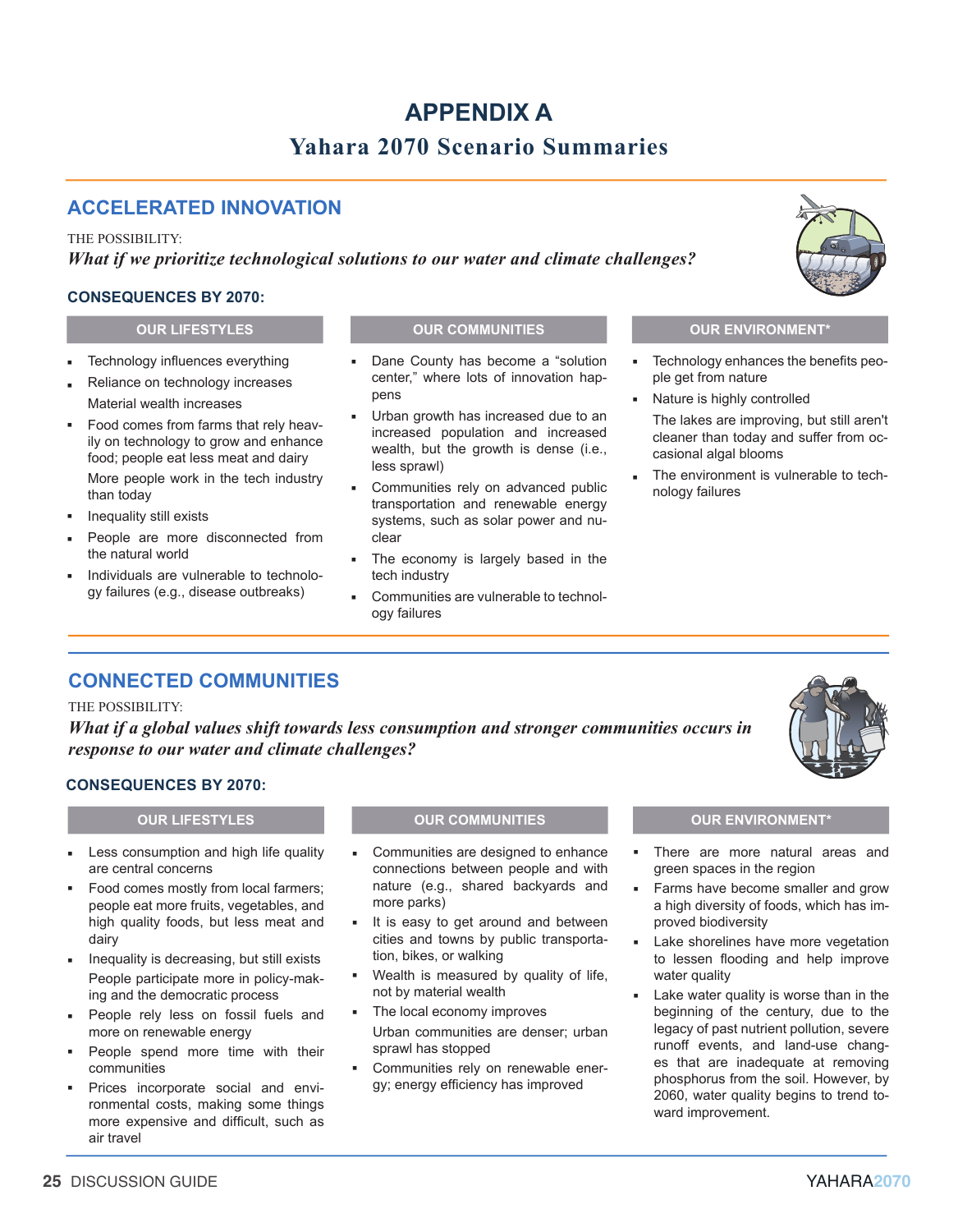# **APPENDIX A Yahara 2070 Scenario Summaries**

# **ACCELERATED INNOVATION**

#### THE POSSIBILITY:

*What if we prioritize technological solutions to our water and climate challenges?*

### **CONSEQUENCES BY 2070:**

- Technology infuences everything ▪
- Reliance on technology increases Material wealth increases ▪
- Food comes from farms that rely heavily on technology to grow and enhance food; people eat less meat and dairy More people work in the tech industry than today ▪
- Inequality still exists ▪
- People are more disconnected from the natural world ▪
- Individuals are vulnerable to technology failures (e.g., disease outbreaks) ▪

### **OUR LIFESTYLES OUR COMMUNITIES OUR ENVIRONMENT\***

- Dane County has become a "solution center," where lots of innovation happens ▪
- Urban growth has increased due to an increased population and increased wealth, but the growth is dense (i.e., less sprawl) ▪
- Communities rely on advanced public transportation and renewable energy systems, such as solar power and nuclear ▪
- The economy is largely based in the tech industry ▪
- Communities are vulnerable to technology failures ▪

- Technology enhances the benefits people get from nature ▪
- Nature is highly controlled ▪
	- The lakes are improving, but still aren't cleaner than today and suffer from occasional algal blooms
- The environment is vulnerable to technology failures ▪

# **CONNECTED COMMUNITIES**

#### THE POSSIBILITY:

*What if a global values shift towards less consumption and stronger communities occurs in response to our water and climate challenges?*



### **CONSEQUENCES BY 2070:**

- Less consumption and high life quality are central concerns ▪
- Food comes mostly from local farmers; people eat more fruits, vegetables, and high quality foods, but less meat and dairy ▪
- Inequality is decreasing, but still exists People participate more in policy-making and the democratic process ▪
- People rely less on fossil fuels and more on renewable energy ▪
- People spend more time with their communities ▪
- Prices incorporate social and environmental costs, making some things more expensive and difficult, such as air travel ▪

#### **OUR LIFESTYLES OUR COMMUNITIES OUR ENVIRONMENT\***

- Communities are designed to enhance connections between people and with nature (e.g., shared backyards and more parks) ▪
- It is easy to get around and between cities and towns by public transportation, bikes, or walking ▪
- Wealth is measured by quality of life, not by material wealth ▪
- The local economy improves Urban communities are denser; urban sprawl has stopped ▪
- Communities rely on renewable energy; energy efficiency has improved ▪

- There are more natural areas and green spaces in the region ▪
- Farms have become smaller and grow a high diversity of foods, which has improved biodiversity ▪
- Lake shorelines have more vegetation to lessen flooding and help improve water quality ▪
- Lake water quality is worse than in the beginning of the century, due to the legacy of past nutrient pollution, severe runoff events, and land-use changes that are inadequate at removing phosphorus from the soil. However, by 2060, water quality begins to trend toward improvement. ▪

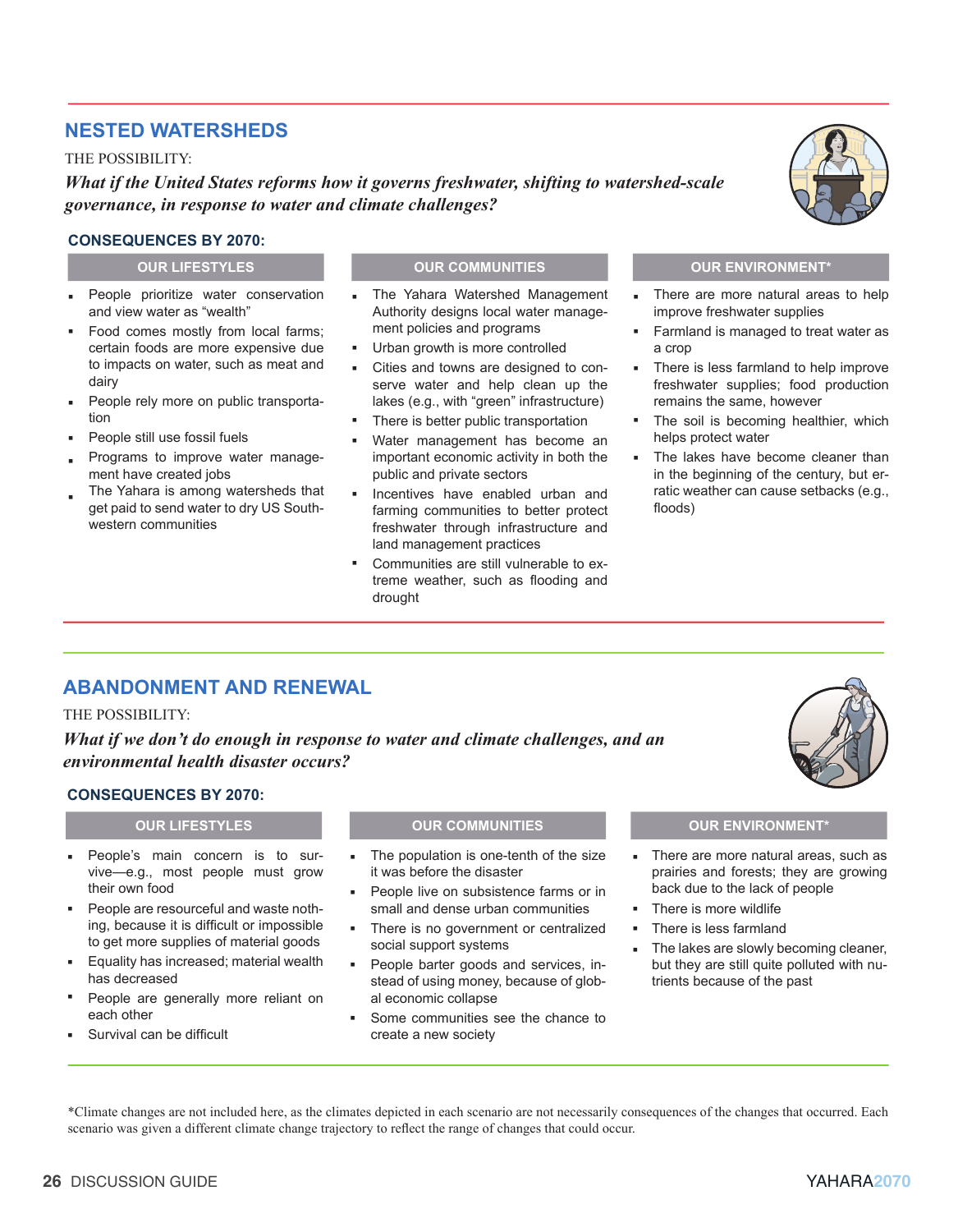# **NESTED WATERSHEDS**

THE POSSIBILITY:

*What if the United States reforms how it governs freshwater, shifting to watershed-scale governance, in response to water and climate challenges?*

### **CONSEQUENCES BY 2070:**

- People prioritize water conservation and view water as "wealth" ▪
- Food comes mostly from local farms; certain foods are more expensive due to impacts on water, such as meat and dairy
- People rely more on public transportation ▪
- People still use fossil fuels ▪
- Programs to improve water management have created jobs ▪
- The Yahara is among watersheds that get paid to send water to dry US Southwestern communities ▪

### **OUR LIFESTYLES OUR COMMUNITIES OUR ENVIRONMENT\***

- The Yahara Watershed Management Authority designs local water management policies and programs ▪
- Urban growth is more controlled ▪
- Cities and towns are designed to conserve water and help clean up the lakes (e.g., with "green" infrastructure) ▪
- There is better public transportation ▪
- Water management has become an important economic activity in both the public and private sectors ▪
- Incentives have enabled urban and farming communities to better protect freshwater through infrastructure and land management practices ▪
- Communities are still vulnerable to extreme weather, such as flooding and drought ▪

- There are more natural areas to help improve freshwater supplies ▪
- Farmland is managed to treat water as a crop ▪
- There is less farmland to help improve freshwater supplies; food production remains the same, however ▪
- The soil is becoming healthier, which helps protect water ▪
- The lakes have become cleaner than in the beginning of the century, but erratic weather can cause setbacks (e.g., floods) ▪

# **ABANDONMENT AND RENEWAL**

#### THE POSSIBILITY:

*What if we don't do enough in response to water and climate challenges, and an environmental health disaster occurs?*

▪

### **CONSEQUENCES BY 2070:**

- People's main concern is to survive—e.g., most people must grow their own food ▪
- People are resourceful and waste nothing, because it is difficult or impossible to get more supplies of material goods ▪
- Equality has increased; material wealth has decreased ▪
- People are generally more reliant on each other ▪
- Survival can be difficult ▪

#### **OUR LIFESTYLES OUR COMMUNITIES OUR ENVIRONMENT\***

- The population is one-tenth of the size it was before the disaster ▪
- People live on subsistence farms or in small and dense urban communities ▪
- There is no government or centralized social support systems ▪
	- People barter goods and services, instead of using money, because of global economic collapse
- Some communities see the chance to create a new society ▪

- There are more natural areas, such as prairies and forests; they are growing back due to the lack of people ▪
- There is more wildlife
- There is less farmland ▪
- The lakes are slowly becoming cleaner, but they are still quite polluted with nutrients because of the past ▪

\*Climate changes are not included here, as the climates depicted in each scenario are not necessarily consequences of the changes that occurred. Each scenario was given a different climate change trajectory to refect the range of changes that could occur.

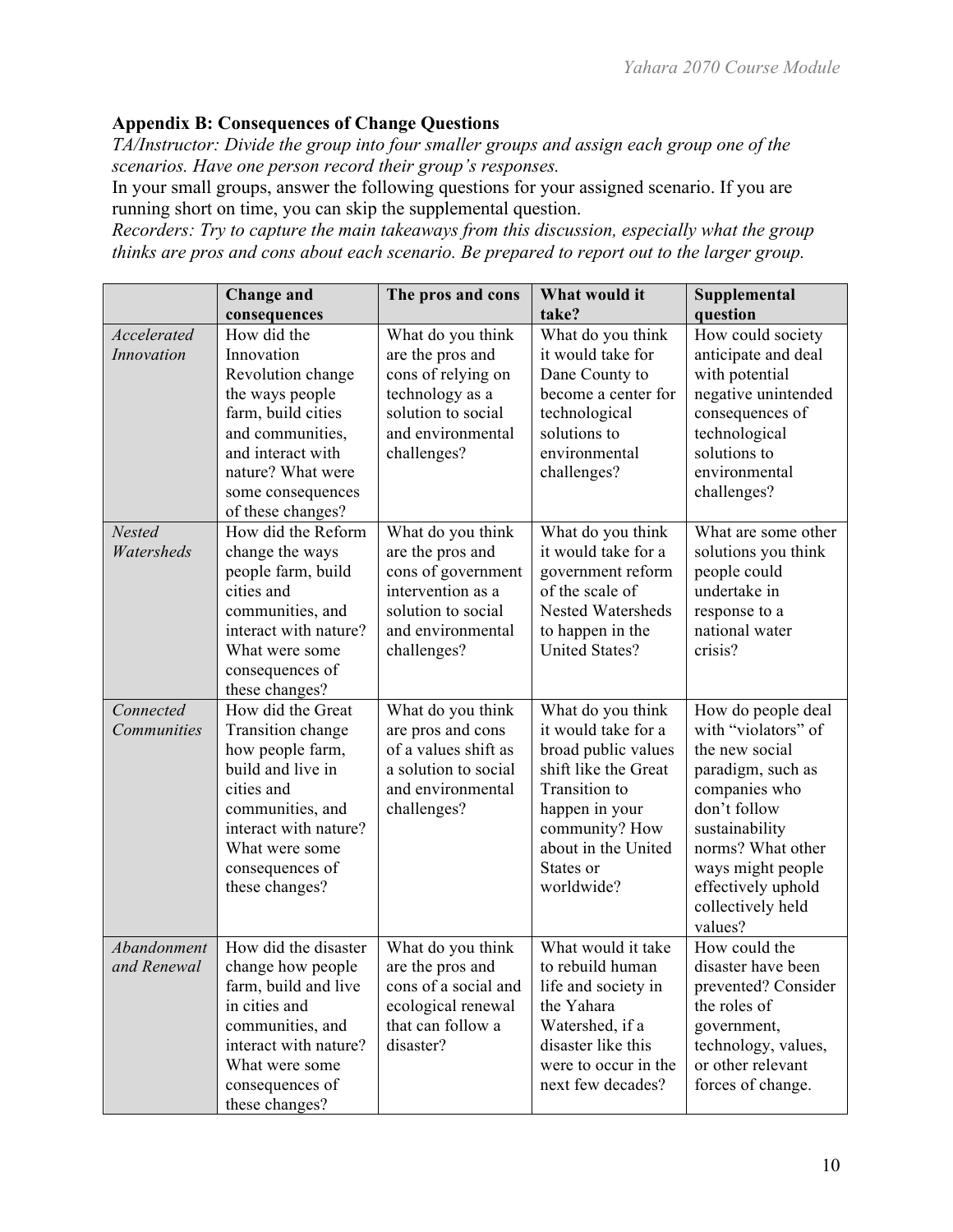# **Appendix B: Consequences of Change Questions**

*TA/Instructor: Divide the group into four smaller groups and assign each group one of the scenarios. Have one person record their group's responses.*

In your small groups, answer the following questions for your assigned scenario. If you are running short on time, you can skip the supplemental question.

*Recorders: Try to capture the main takeaways from this discussion, especially what the group thinks are pros and cons about each scenario. Be prepared to report out to the larger group.*

|                             | <b>Change and</b><br>consequences                                                                                                                                                                 | The pros and cons                                                                                                                          | What would it<br>take?                                                                                                                                                                                | Supplemental<br>question                                                                                                                                                                                                            |
|-----------------------------|---------------------------------------------------------------------------------------------------------------------------------------------------------------------------------------------------|--------------------------------------------------------------------------------------------------------------------------------------------|-------------------------------------------------------------------------------------------------------------------------------------------------------------------------------------------------------|-------------------------------------------------------------------------------------------------------------------------------------------------------------------------------------------------------------------------------------|
| Accelerated<br>Innovation   | How did the<br>Innovation<br>Revolution change<br>the ways people<br>farm, build cities<br>and communities,<br>and interact with<br>nature? What were<br>some consequences<br>of these changes?   | What do you think<br>are the pros and<br>cons of relying on<br>technology as a<br>solution to social<br>and environmental<br>challenges?   | What do you think<br>it would take for<br>Dane County to<br>become a center for<br>technological<br>solutions to<br>environmental<br>challenges?                                                      | How could society<br>anticipate and deal<br>with potential<br>negative unintended<br>consequences of<br>technological<br>solutions to<br>environmental<br>challenges?                                                               |
| <b>Nested</b><br>Watersheds | How did the Reform<br>change the ways<br>people farm, build<br>cities and<br>communities, and<br>interact with nature?<br>What were some<br>consequences of<br>these changes?                     | What do you think<br>are the pros and<br>cons of government<br>intervention as a<br>solution to social<br>and environmental<br>challenges? | What do you think<br>it would take for a<br>government reform<br>of the scale of<br>Nested Watersheds<br>to happen in the<br><b>United States?</b>                                                    | What are some other<br>solutions you think<br>people could<br>undertake in<br>response to a<br>national water<br>crisis?                                                                                                            |
| Connected<br>Communities    | How did the Great<br>Transition change<br>how people farm,<br>build and live in<br>cities and<br>communities, and<br>interact with nature?<br>What were some<br>consequences of<br>these changes? | What do you think<br>are pros and cons<br>of a values shift as<br>a solution to social<br>and environmental<br>challenges?                 | What do you think<br>it would take for a<br>broad public values<br>shift like the Great<br><b>Transition</b> to<br>happen in your<br>community? How<br>about in the United<br>States or<br>worldwide? | How do people deal<br>with "violators" of<br>the new social<br>paradigm, such as<br>companies who<br>don't follow<br>sustainability<br>norms? What other<br>ways might people<br>effectively uphold<br>collectively held<br>values? |
| Abandonment<br>and Renewal  | How did the disaster<br>change how people<br>farm, build and live<br>in cities and<br>communities, and<br>interact with nature?<br>What were some<br>consequences of<br>these changes?            | What do you think<br>are the pros and<br>cons of a social and<br>ecological renewal<br>that can follow a<br>disaster?                      | What would it take<br>to rebuild human<br>life and society in<br>the Yahara<br>Watershed, if a<br>disaster like this<br>were to occur in the<br>next few decades?                                     | How could the<br>disaster have been<br>prevented? Consider<br>the roles of<br>government,<br>technology, values,<br>or other relevant<br>forces of change.                                                                          |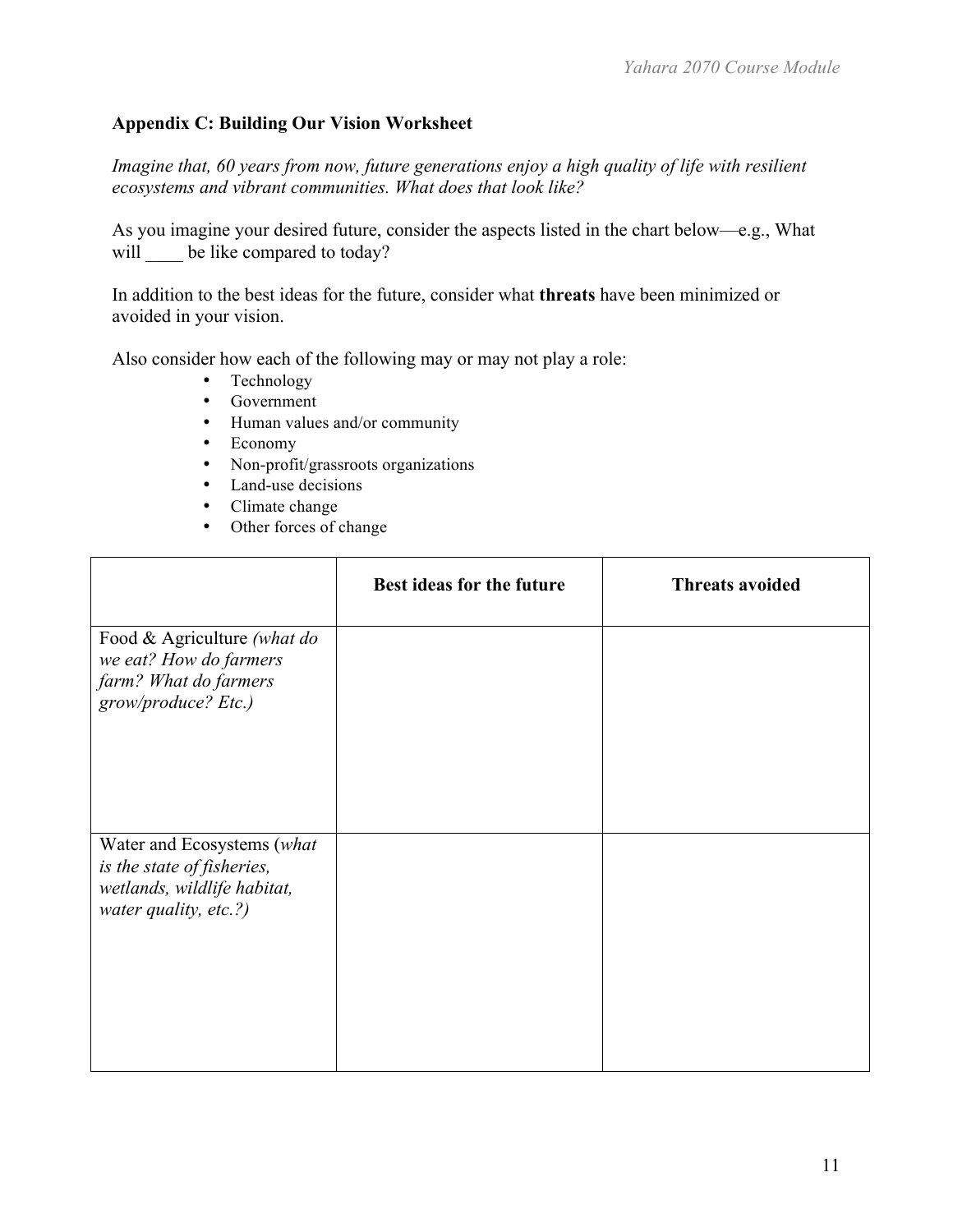# **Appendix C: Building Our Vision Worksheet**

*Imagine that, 60 years from now, future generations enjoy a high quality of life with resilient ecosystems and vibrant communities. What does that look like?* 

As you imagine your desired future, consider the aspects listed in the chart below—e.g., What will be like compared to today?

In addition to the best ideas for the future, consider what **threats** have been minimized or avoided in your vision.

Also consider how each of the following may or may not play a role:

- Technology
- Government
- Human values and/or community
- Economy
- Non-profit/grassroots organizations
- Land-use decisions
- Climate change
- Other forces of change

|                                                                                                                  | Best ideas for the future | <b>Threats avoided</b> |
|------------------------------------------------------------------------------------------------------------------|---------------------------|------------------------|
| Food & Agriculture (what do<br>we eat? How do farmers<br>farm? What do farmers<br>grow/produce? Etc.)            |                           |                        |
| Water and Ecosystems (what<br>is the state of fisheries,<br>wetlands, wildlife habitat,<br>water quality, etc.?) |                           |                        |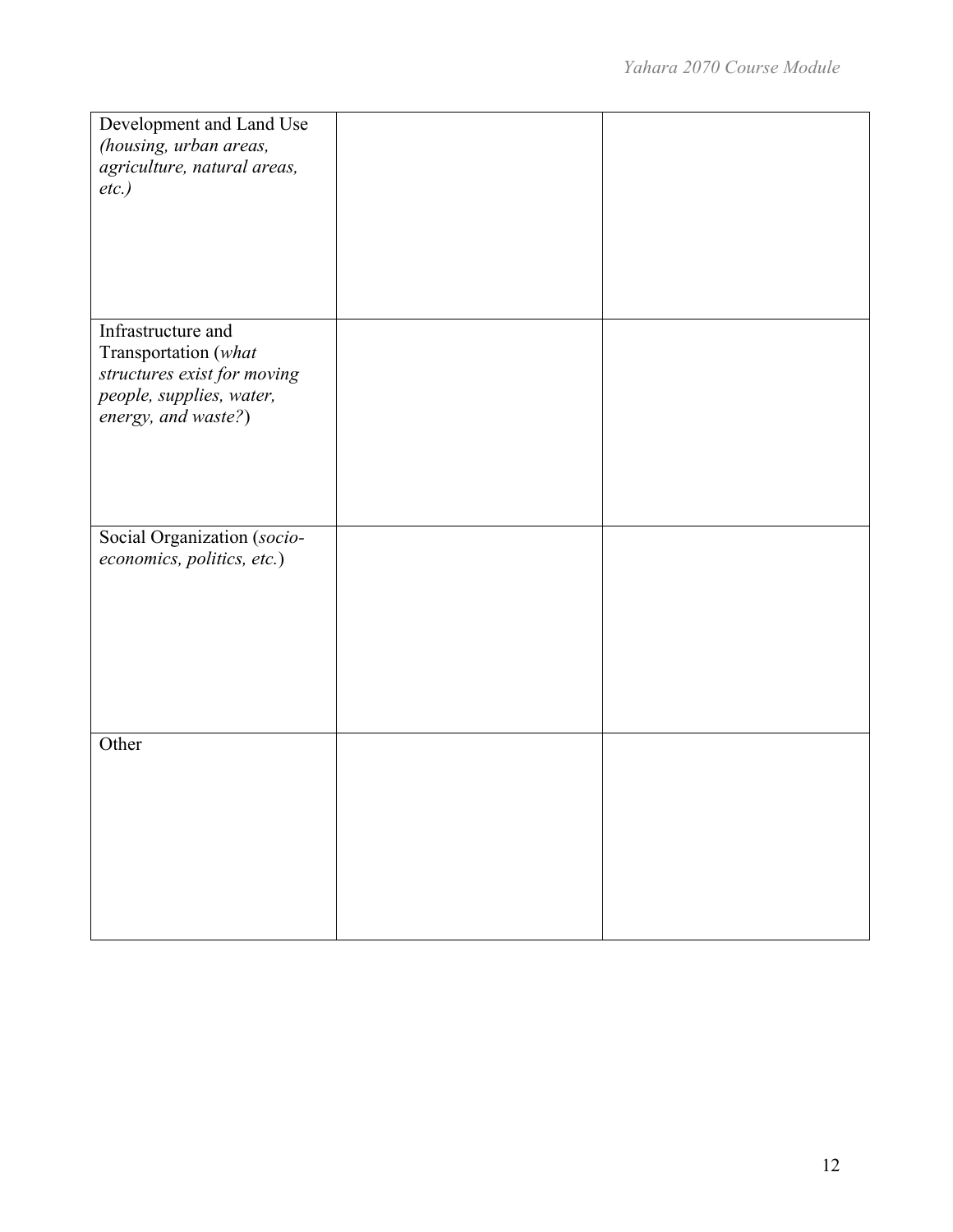| Development and Land Use    |  |
|-----------------------------|--|
|                             |  |
| (housing, urban areas,      |  |
| agriculture, natural areas, |  |
| $etc.$ )                    |  |
|                             |  |
|                             |  |
|                             |  |
|                             |  |
|                             |  |
|                             |  |
|                             |  |
|                             |  |
|                             |  |
| Infrastructure and          |  |
| Transportation (what        |  |
|                             |  |
| structures exist for moving |  |
| people, supplies, water,    |  |
|                             |  |
| energy, and waste?)         |  |
|                             |  |
|                             |  |
|                             |  |
|                             |  |
|                             |  |
|                             |  |
| Social Organization (socio- |  |
|                             |  |
| economics, politics, etc.)  |  |
|                             |  |
|                             |  |
|                             |  |
|                             |  |
|                             |  |
|                             |  |
|                             |  |
|                             |  |
|                             |  |
|                             |  |
|                             |  |
| Other                       |  |
|                             |  |
|                             |  |
|                             |  |
|                             |  |
|                             |  |
|                             |  |
|                             |  |
|                             |  |
|                             |  |
|                             |  |
|                             |  |
|                             |  |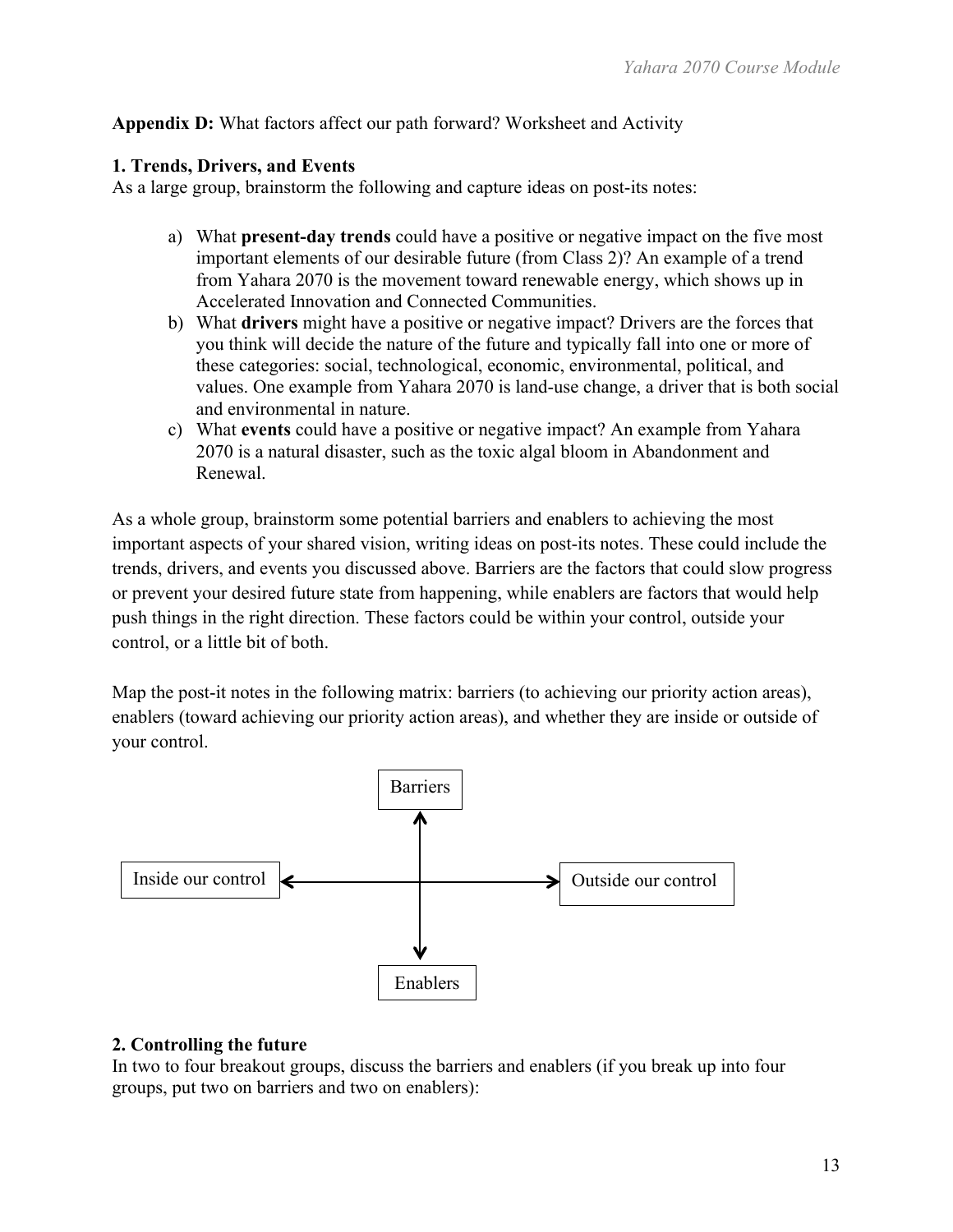# **Appendix D:** What factors affect our path forward? Worksheet and Activity

### **1. Trends, Drivers, and Events**

As a large group, brainstorm the following and capture ideas on post-its notes:

- a) What **present-day trends** could have a positive or negative impact on the five most important elements of our desirable future (from Class 2)? An example of a trend from Yahara 2070 is the movement toward renewable energy, which shows up in Accelerated Innovation and Connected Communities.
- b) What **drivers** might have a positive or negative impact? Drivers are the forces that you think will decide the nature of the future and typically fall into one or more of these categories: social, technological, economic, environmental, political, and values. One example from Yahara 2070 is land-use change, a driver that is both social and environmental in nature.
- c) What **events** could have a positive or negative impact? An example from Yahara 2070 is a natural disaster, such as the toxic algal bloom in Abandonment and Renewal.

As a whole group, brainstorm some potential barriers and enablers to achieving the most important aspects of your shared vision, writing ideas on post-its notes. These could include the trends, drivers, and events you discussed above. Barriers are the factors that could slow progress or prevent your desired future state from happening, while enablers are factors that would help push things in the right direction. These factors could be within your control, outside your control, or a little bit of both.

Map the post-it notes in the following matrix: barriers (to achieving our priority action areas), enablers (toward achieving our priority action areas), and whether they are inside or outside of your control.



### **2. Controlling the future**

In two to four breakout groups, discuss the barriers and enablers (if you break up into four groups, put two on barriers and two on enablers):